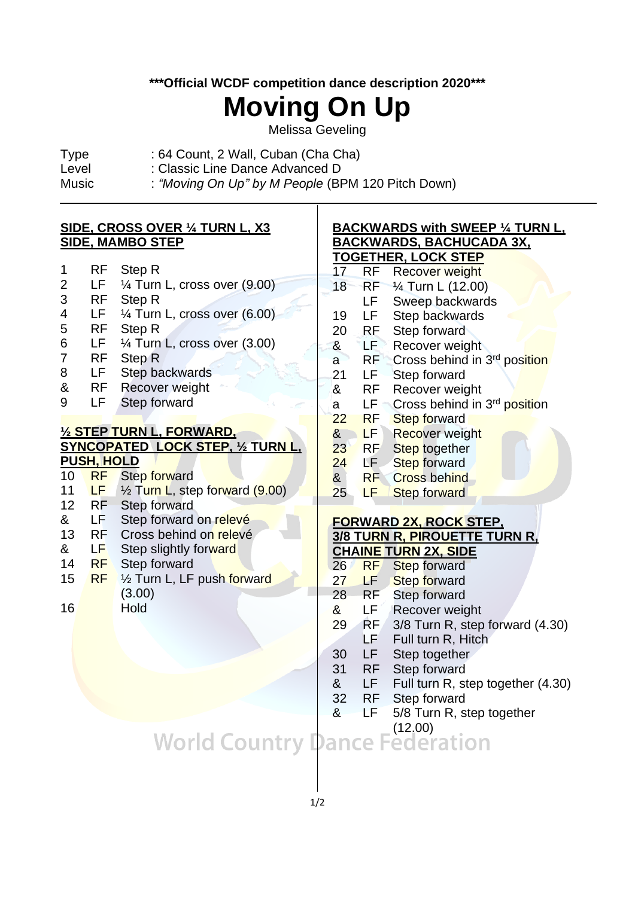**\*\*\*Official WCDF competition dance description 2020\*\*\***

### **Moving On Up**

Melissa Geveling

- Type : 64 Count, 2 Wall, Cuban (Cha Cha)
- Level : Classic Line Dance Advanced D

 $\overline{a}$ 

Music : *"Moving On Up" by M People* (BPM 120 Pitch Down)

#### **SIDE, CROSS OVER ¼ TURN L, X3 SIDE, MAMBO STEP** 1 RF Step R 2 LF ¼ Turn L, cross over (9.00) 3 RF Step R 4 LF ¼ Turn L, cross over (6.00) 5 RF Step R 6 LF ¼ Turn L, cross over (3.00) 7 RF Step R 8 LF Step backwards & RF Recover weight 9 LF Step forward **½ STEP TURN L, FORWARD, SYNCOPATED LOCK STEP, 1/2 TURN L PUSH, HOLD** 10 RF Step forward 11 LF  $\frac{1}{2}$  Turn L, step forward (9.00) 12 RF Step forward<br>& LF Step forward & LF Step forward on relevé 13 RF Cross behind on relevé<br>& LF Step slightly forward & LF Step slightly forward 14 RF Step forward 15 RF 1/2 Turn L, LF push forward (3.00) 16 Hold **BACKWARDS with SWEEP ¼ TURN L, BACKWARDS, BACHUCADA 3X, TOGETHER, LOCK STEP** 17 RF Recover weight 18 RF ¼ Turn L (12.00) LF Sweep backwards 19 LF Step backwards 20 RF Step forward & LF Recover weight a RF Cross behind in 3<sup>rd</sup> position 21 LF Step forward & RF Recover weight a LF Cross behind in 3<sup>rd</sup> position 22 RF Step forward **& LF Recover weight** 23 RF Step together 24 LF Step forward & RF Cross behind 25 **LF** Step forward **FORWARD 2X, ROCK STEP, 3/8 TURN R, PIROUETTE TURN R, CHAINE TURN 2X, SIDE** 26 RF Step forward 27 LF Step forward 28 RF Step forward & LF Recover weight 29 RF 3/8 Turn R, step forward (4.30) LF Full turn R, Hitch 30 LF Step together 31 RF Step forward & LF Full turn R, step together (4.30) 32 RF Step forward

& LF 5/8 Turn R, step together

# World Country Dance Federation